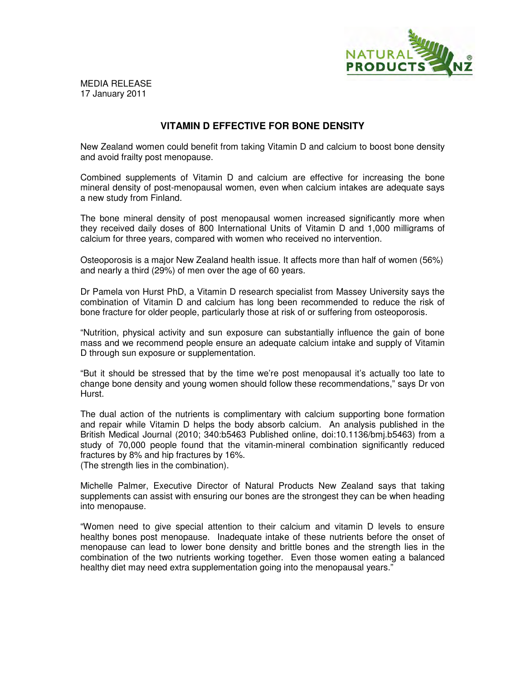

MEDIA RELEASE 17 January 2011

## **VITAMIN D EFFECTIVE FOR BONE DENSITY**

New Zealand women could benefit from taking Vitamin D and calcium to boost bone density and avoid frailty post menopause.

Combined supplements of Vitamin D and calcium are effective for increasing the bone mineral density of post-menopausal women, even when calcium intakes are adequate says a new study from Finland.

The bone mineral density of post menopausal women increased significantly more when they received daily doses of 800 International Units of Vitamin D and 1,000 milligrams of calcium for three years, compared with women who received no intervention.

Osteoporosis is a major New Zealand health issue. It affects more than half of women (56%) and nearly a third (29%) of men over the age of 60 years.

Dr Pamela von Hurst PhD, a Vitamin D research specialist from Massey University says the combination of Vitamin D and calcium has long been recommended to reduce the risk of bone fracture for older people, particularly those at risk of or suffering from osteoporosis.

"Nutrition, physical activity and sun exposure can substantially influence the gain of bone mass and we recommend people ensure an adequate calcium intake and supply of Vitamin D through sun exposure or supplementation.

"But it should be stressed that by the time we're post menopausal it's actually too late to change bone density and young women should follow these recommendations," says Dr von Hurst.

The dual action of the nutrients is complimentary with calcium supporting bone formation and repair while Vitamin D helps the body absorb calcium. An analysis published in the British Medical Journal (2010; 340:b5463 Published online, doi:10.1136/bmj.b5463) from a study of 70,000 people found that the vitamin-mineral combination significantly reduced fractures by 8% and hip fractures by 16%.

(The strength lies in the combination).

Michelle Palmer, Executive Director of Natural Products New Zealand says that taking supplements can assist with ensuring our bones are the strongest they can be when heading into menopause.

"Women need to give special attention to their calcium and vitamin D levels to ensure healthy bones post menopause. Inadequate intake of these nutrients before the onset of menopause can lead to lower bone density and brittle bones and the strength lies in the combination of the two nutrients working together. Even those women eating a balanced healthy diet may need extra supplementation going into the menopausal years."